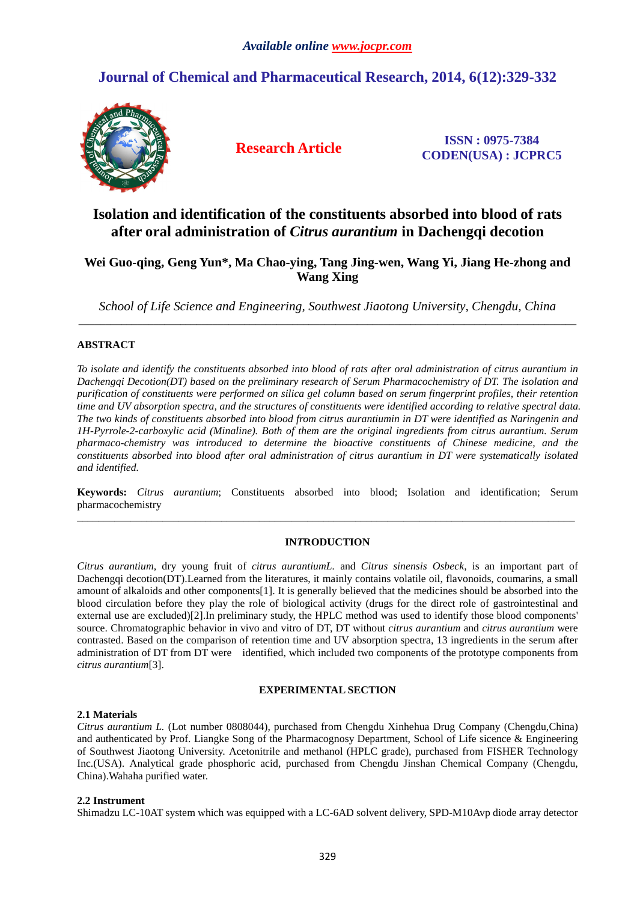# **Journal of Chemical and Pharmaceutical Research, 2014, 6(12):329-332**



**Research Article ISSN : 0975-7384 CODEN(USA) : JCPRC5**

## **Isolation and identification of the constituents absorbed into blood of rats after oral administration of** *Citrus aurantium* **in Dachengqi decotion**

### **Wei Guo-qing, Geng Yun\*, Ma Chao-ying, Tang Jing-wen, Wang Yi, Jiang He-zhong and Wang Xing**

*School of Life Science and Engineering, Southwest Jiaotong University, Chengdu, China*  \_\_\_\_\_\_\_\_\_\_\_\_\_\_\_\_\_\_\_\_\_\_\_\_\_\_\_\_\_\_\_\_\_\_\_\_\_\_\_\_\_\_\_\_\_\_\_\_\_\_\_\_\_\_\_\_\_\_\_\_\_\_\_\_\_\_\_\_\_\_\_\_\_\_\_\_\_\_\_\_\_\_\_\_\_\_\_\_\_\_\_\_\_

### **ABSTRACT**

*To isolate and identify the constituents absorbed into blood of rats after oral administration of citrus aurantium in Dachengqi Decotion(DT) based on the preliminary research of Serum Pharmacochemistry of DT. The isolation and purification of constituents were performed on silica gel column based on serum fingerprint profiles, their retention time and UV absorption spectra, and the structures of constituents were identified according to relative spectral data. The two kinds of constituents absorbed into blood from citrus aurantiumin in DT were identified as Naringenin and 1H-Pyrrole-2-carboxylic acid (Minaline). Both of them are the original ingredients from citrus aurantium. Serum pharmaco-chemistry was introduced to determine the bioactive constituents of Chinese medicine, and the constituents absorbed into blood after oral administration of citrus aurantium in DT were systematically isolated and identified.* 

**Keywords:** *Citrus aurantium*; Constituents absorbed into blood; Isolation and identification; Serum pharmacochemistry \_\_\_\_\_\_\_\_\_\_\_\_\_\_\_\_\_\_\_\_\_\_\_\_\_\_\_\_\_\_\_\_\_\_\_\_\_\_\_\_\_\_\_\_\_\_\_\_\_\_\_\_\_\_\_\_\_\_\_\_\_\_\_\_\_\_\_\_\_\_\_\_\_\_\_\_\_\_\_\_\_\_\_\_\_\_\_\_\_\_\_\_\_

#### **IN***T***RODUCTION**

*Citrus aurantium*, dry young fruit of *citrus aurantiumL.* and *Citrus sinensis Osbeck*, is an important part of Dachengqi decotion(DT).Learned from the literatures, it mainly contains volatile oil, flavonoids, coumarins, a small amount of alkaloids and other components[1]. It is generally believed that the medicines should be absorbed into the blood circulation before they play the role of biological activity (drugs for the direct role of gastrointestinal and external use are excluded)[2].In preliminary study, the HPLC method was used to identify those blood components' source. Chromatographic behavior in vivo and vitro of DT, DT without *citrus aurantium* and *citrus aurantium* were contrasted. Based on the comparison of retention time and UV absorption spectra, 13 ingredients in the serum after administration of DT from DT were identified, which included two components of the prototype components from *citrus aurantium*[3].

#### **EXPERIMENTAL SECTION**

#### **2.1 Materials**

*Citrus aurantium L.* (Lot number 0808044), purchased from Chengdu Xinhehua Drug Company (Chengdu,China) and authenticated by Prof. Liangke Song of the Pharmacognosy Department, School of Life sicence & Engineering of Southwest Jiaotong University. Acetonitrile and methanol (HPLC grade), purchased from FISHER Technology Inc.(USA). Analytical grade phosphoric acid, purchased from Chengdu Jinshan Chemical Company (Chengdu, China).Wahaha purified water.

#### **2.2 Instrument**

Shimadzu LC-10AT system which was equipped with a LC-6AD solvent delivery, SPD-M10Avp diode array detector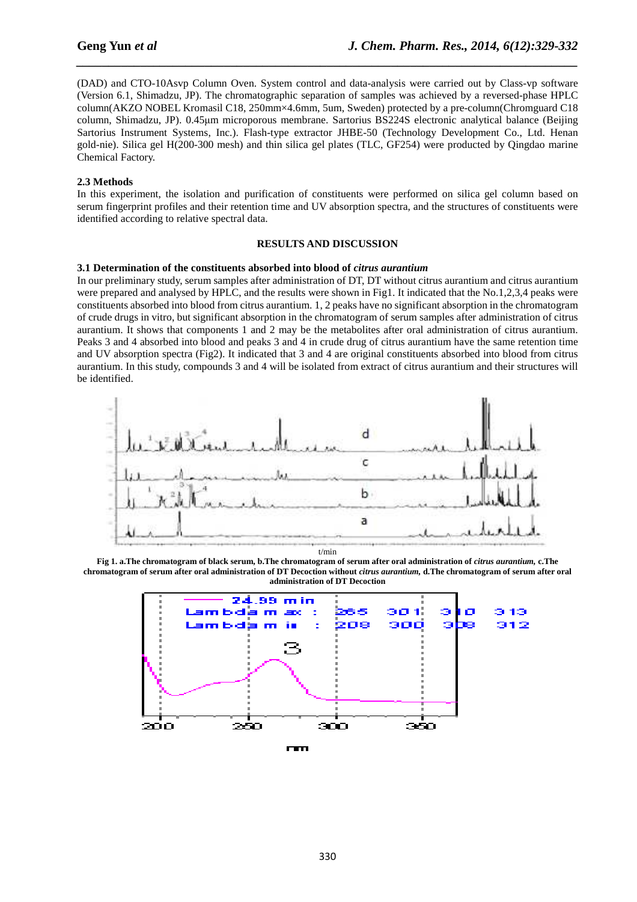(DAD) and CTO-10Asvp Column Oven. System control and data-analysis were carried out by Class-vp software (Version 6.1, Shimadzu, JP). The chromatographic separation of samples was achieved by a reversed-phase HPLC column(AKZO NOBEL Kromasil C18, 250mm×4.6mm, 5um, Sweden) protected by a pre-column(Chromguard C18 column, Shimadzu, JP). 0.45µm microporous membrane. Sartorius BS224S electronic analytical balance (Beijing Sartorius Instrument Systems, Inc.). Flash-type extractor JHBE-50 (Technology Development Co., Ltd. Henan gold-nie). Silica gel H(200-300 mesh) and thin silica gel plates (TLC, GF254) were producted by Qingdao marine Chemical Factory.

*\_\_\_\_\_\_\_\_\_\_\_\_\_\_\_\_\_\_\_\_\_\_\_\_\_\_\_\_\_\_\_\_\_\_\_\_\_\_\_\_\_\_\_\_\_\_\_\_\_\_\_\_\_\_\_\_\_\_\_\_\_\_\_\_\_\_\_\_\_\_\_\_\_\_\_\_\_\_*

#### **2.3 Methods**

In this experiment, the isolation and purification of constituents were performed on silica gel column based on serum fingerprint profiles and their retention time and UV absorption spectra, and the structures of constituents were identified according to relative spectral data.

#### **RESULTS AND DISCUSSION**

#### **3.1 Determination of the constituents absorbed into blood of** *citrus aurantium*

In our preliminary study, serum samples after administration of DT, DT without citrus aurantium and citrus aurantium were prepared and analysed by HPLC, and the results were shown in Fig1. It indicated that the No.1,2,3,4 peaks were constituents absorbed into blood from citrus aurantium. 1, 2 peaks have no significant absorption in the chromatogram of crude drugs in vitro, but significant absorption in the chromatogram of serum samples after administration of citrus aurantium. It shows that components 1 and 2 may be the metabolites after oral administration of citrus aurantium. Peaks 3 and 4 absorbed into blood and peaks 3 and 4 in crude drug of citrus aurantium have the same retention time and UV absorption spectra (Fig2). It indicated that 3 and 4 are original constituents absorbed into blood from citrus aurantium. In this study, compounds 3 and 4 will be isolated from extract of citrus aurantium and their structures will be identified.



Fig 1. a.The chromatogram of black serum, b.The chromatogram of serum after oral administration of *citrus aurantium*, c.The **chromatogram of serum after oral administration of DT Decoction without** *citrus aurantium,* **d.The chromatogram of serum after oral administration of DT Decoction** 



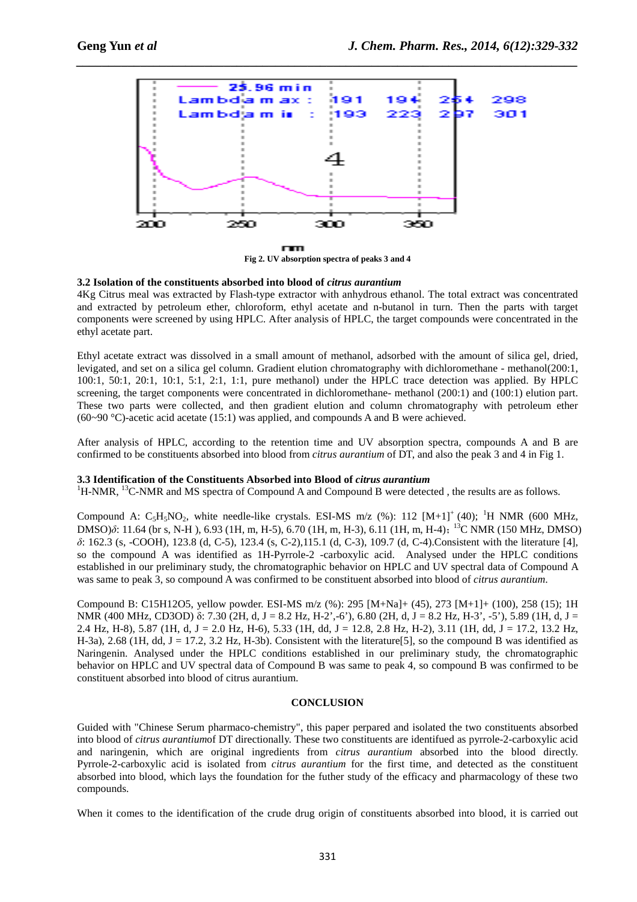

*\_\_\_\_\_\_\_\_\_\_\_\_\_\_\_\_\_\_\_\_\_\_\_\_\_\_\_\_\_\_\_\_\_\_\_\_\_\_\_\_\_\_\_\_\_\_\_\_\_\_\_\_\_\_\_\_\_\_\_\_\_\_\_\_\_\_\_\_\_\_\_\_\_\_\_\_\_\_*

**Fig 2. UV absorption spectra of peaks 3 and 4** 

#### **3.2 Isolation of the constituents absorbed into blood of** *citrus aurantium*

4Kg Citrus meal was extracted by Flash-type extractor with anhydrous ethanol. The total extract was concentrated and extracted by petroleum ether, chloroform, ethyl acetate and n-butanol in turn. Then the parts with target components were screened by using HPLC. After analysis of HPLC, the target compounds were concentrated in the ethyl acetate part.

Ethyl acetate extract was dissolved in a small amount of methanol, adsorbed with the amount of silica gel, dried, levigated, and set on a silica gel column. Gradient elution chromatography with dichloromethane - methanol(200:1, 100:1, 50:1, 20:1, 10:1, 5:1, 2:1, 1:1, pure methanol) under the HPLC trace detection was applied. By HPLC screening, the target components were concentrated in dichloromethane- methanol (200:1) and (100:1) elution part. These two parts were collected, and then gradient elution and column chromatography with petroleum ether  $(60~90~°C)$ -acetic acid acetate (15:1) was applied, and compounds A and B were achieved.

After analysis of HPLC, according to the retention time and UV absorption spectra, compounds A and B are confirmed to be constituents absorbed into blood from *citrus aurantium* of DT, and also the peak 3 and 4 in Fig 1.

#### **3.3 Identification of the Constituents Absorbed into Blood of** *citrus aurantium*

 $1H-NMR$ ,  $13C-NMR$  and MS spectra of Compound A and Compound B were detected, the results are as follows.

Compound A:  $C_5H_5NO_2$ , white needle-like crystals. ESI-MS m/z (%): 112 [M+1]<sup>+</sup> (40); <sup>1</sup>H NMR (600 MHz, DMSO) $\delta$ : 11.64 (br s, N-H), 6.93 (1H, m, H-5), 6.70 (1H, m, H-3), 6.11 (1H, m, H-4);<sup>13</sup>C NMR (150 MHz, DMSO) *δ*: 162.3 (s, -COOH), 123.8 (d, C-5), 123.4 (s, C-2),115.1 (d, C-3), 109.7 (d, C-4).Consistent with the literature [4], so the compound A was identified as 1H-Pyrrole-2 -carboxylic acid. Analysed under the HPLC conditions established in our preliminary study, the chromatographic behavior on HPLC and UV spectral data of Compound A was same to peak 3, so compound A was confirmed to be constituent absorbed into blood of *citrus aurantium*.

Compound B: C15H12O5, yellow powder. ESI-MS m/z (%): 295 [M+Na]+ (45), 273 [M+1]+ (100), 258 (15); 1H NMR (400 MHz, CD3OD) δ: 7.30 (2H, d, J = 8.2 Hz, H-2',-6'), 6.80 (2H, d, J = 8.2 Hz, H-3', -5'), 5.89 (1H, d, J = 2.4 Hz, H-8), 5.87 (1H, d, J = 2.0 Hz, H-6), 5.33 (1H, dd, J = 12.8, 2.8 Hz, H-2), 3.11 (1H, dd, J = 17.2, 13.2 Hz, H-3a), 2.68 (1H, dd, J = 17.2, 3.2 Hz, H-3b). Consistent with the literature [5], so the compound B was identified as Naringenin. Analysed under the HPLC conditions established in our preliminary study, the chromatographic behavior on HPLC and UV spectral data of Compound B was same to peak 4, so compound B was confirmed to be constituent absorbed into blood of citrus aurantium.

#### **CONCLUSION**

Guided with "Chinese Serum pharmaco-chemistry", this paper perpared and isolated the two constituents absorbed into blood of *citrus aurantium*of DT directionally. These two constituents are identifued as pyrrole-2-carboxylic acid and naringenin, which are original ingredients from *citrus aurantium* absorbed into the blood directly. Pyrrole-2-carboxylic acid is isolated from *citrus aurantium* for the first time, and detected as the constituent absorbed into blood, which lays the foundation for the futher study of the efficacy and pharmacology of these two compounds.

When it comes to the identification of the crude drug origin of constituents absorbed into blood, it is carried out